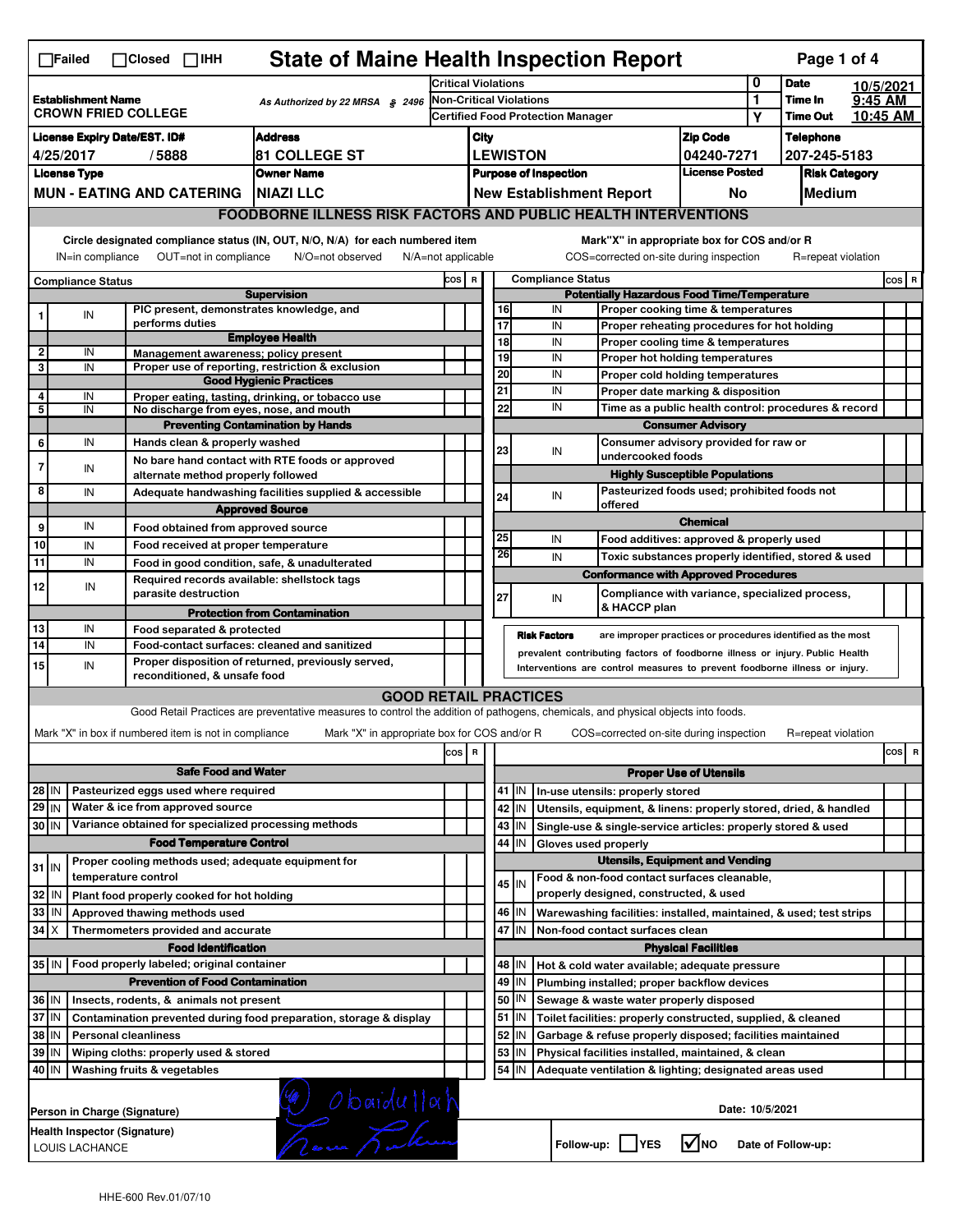|                                                                                                            | <b>State of Maine Health Inspection Report</b><br>Page 1 of 4<br>$\Box$ Failed<br>$\Box$ Closed $\Box$ IHH                                                                                                                                                                            |                                                             |                                                                                                                                   |                                                                            |                                                       |                                                                                                                                                            |                       |                                                                                               |                                                                    |                                       |                            |                                                      |           |         |
|------------------------------------------------------------------------------------------------------------|---------------------------------------------------------------------------------------------------------------------------------------------------------------------------------------------------------------------------------------------------------------------------------------|-------------------------------------------------------------|-----------------------------------------------------------------------------------------------------------------------------------|----------------------------------------------------------------------------|-------------------------------------------------------|------------------------------------------------------------------------------------------------------------------------------------------------------------|-----------------------|-----------------------------------------------------------------------------------------------|--------------------------------------------------------------------|---------------------------------------|----------------------------|------------------------------------------------------|-----------|---------|
|                                                                                                            |                                                                                                                                                                                                                                                                                       |                                                             |                                                                                                                                   | <b>Critical Violations</b>                                                 |                                                       |                                                                                                                                                            |                       |                                                                                               |                                                                    | 0                                     | <b>Date</b>                |                                                      | 10/5/2021 |         |
| <b>Establishment Name</b><br>As Authorized by 22 MRSA § 2496<br><b>CROWN FRIED COLLEGE</b>                 |                                                                                                                                                                                                                                                                                       |                                                             |                                                                                                                                   | <b>Non-Critical Violations</b><br><b>Certified Food Protection Manager</b> |                                                       |                                                                                                                                                            |                       |                                                                                               |                                                                    | 1<br>Υ                                | Time In<br><b>Time Out</b> | 9:45 AM                                              | 10:45 AM  |         |
| <b>Address</b><br><b>License Expiry Date/EST. ID#</b>                                                      |                                                                                                                                                                                                                                                                                       |                                                             |                                                                                                                                   |                                                                            |                                                       |                                                                                                                                                            |                       |                                                                                               |                                                                    | <b>Zip Code</b>                       |                            | <b>Telephone</b>                                     |           |         |
| 4/25/2017<br><b>81 COLLEGE ST</b><br>/5888                                                                 |                                                                                                                                                                                                                                                                                       |                                                             |                                                                                                                                   |                                                                            | City<br><b>LEWISTON</b>                               |                                                                                                                                                            |                       |                                                                                               |                                                                    | 04240-7271                            |                            | 207-245-5183                                         |           |         |
| <b>Owner Name</b><br><b>License Type</b>                                                                   |                                                                                                                                                                                                                                                                                       |                                                             |                                                                                                                                   |                                                                            | <b>License Posted</b><br><b>Purpose of Inspection</b> |                                                                                                                                                            |                       |                                                                                               |                                                                    | <b>Risk Category</b>                  |                            |                                                      |           |         |
| <b>MUN - EATING AND CATERING</b><br><b>NIAZI LLC</b>                                                       |                                                                                                                                                                                                                                                                                       |                                                             |                                                                                                                                   | <b>New Establishment Report</b><br>No                                      |                                                       |                                                                                                                                                            |                       |                                                                                               |                                                                    | Medium                                |                            |                                                      |           |         |
|                                                                                                            | <b>FOODBORNE ILLNESS RISK FACTORS AND PUBLIC HEALTH INTERVENTIONS</b>                                                                                                                                                                                                                 |                                                             |                                                                                                                                   |                                                                            |                                                       |                                                                                                                                                            |                       |                                                                                               |                                                                    |                                       |                            |                                                      |           |         |
|                                                                                                            | Circle designated compliance status (IN, OUT, N/O, N/A) for each numbered item<br>Mark"X" in appropriate box for COS and/or R<br>IN=in compliance<br>OUT=not in compliance<br>N/O=not observed<br>N/A=not applicable<br>COS=corrected on-site during inspection<br>R=repeat violation |                                                             |                                                                                                                                   |                                                                            |                                                       |                                                                                                                                                            |                       |                                                                                               |                                                                    |                                       |                            |                                                      |           |         |
| COS R<br><b>Compliance Status</b>                                                                          |                                                                                                                                                                                                                                                                                       |                                                             |                                                                                                                                   |                                                                            |                                                       |                                                                                                                                                            |                       | <b>Compliance Status</b>                                                                      |                                                                    |                                       |                            |                                                      |           | $cos$ R |
|                                                                                                            |                                                                                                                                                                                                                                                                                       |                                                             | <b>Supervision</b>                                                                                                                |                                                                            |                                                       | <b>Potentially Hazardous Food Time/Temperature</b>                                                                                                         |                       |                                                                                               |                                                                    |                                       |                            |                                                      |           |         |
|                                                                                                            | IN                                                                                                                                                                                                                                                                                    | PIC present, demonstrates knowledge, and<br>performs duties |                                                                                                                                   |                                                                            |                                                       |                                                                                                                                                            | 16<br>$\overline{17}$ | IN<br>Proper cooking time & temperatures<br>IN<br>Proper reheating procedures for hot holding |                                                                    |                                       |                            |                                                      |           |         |
|                                                                                                            |                                                                                                                                                                                                                                                                                       |                                                             | <b>Employee Health</b>                                                                                                            |                                                                            |                                                       |                                                                                                                                                            | 18                    | IN                                                                                            | Proper cooling time & temperatures                                 |                                       |                            |                                                      |           |         |
| $\mathbf{2}$                                                                                               | IN                                                                                                                                                                                                                                                                                    | Management awareness; policy present                        |                                                                                                                                   |                                                                            |                                                       |                                                                                                                                                            | 19                    | IN                                                                                            | Proper hot holding temperatures                                    |                                       |                            |                                                      |           |         |
| 3                                                                                                          | IN                                                                                                                                                                                                                                                                                    |                                                             | Proper use of reporting, restriction & exclusion<br><b>Good Hygienic Practices</b>                                                |                                                                            |                                                       |                                                                                                                                                            | 20                    | IN                                                                                            | Proper cold holding temperatures                                   |                                       |                            |                                                      |           |         |
| 4                                                                                                          | IN                                                                                                                                                                                                                                                                                    |                                                             | Proper eating, tasting, drinking, or tobacco use                                                                                  |                                                                            |                                                       |                                                                                                                                                            | 21                    | IN                                                                                            | Proper date marking & disposition                                  |                                       |                            |                                                      |           |         |
| 5                                                                                                          | IN                                                                                                                                                                                                                                                                                    | No discharge from eyes, nose, and mouth                     |                                                                                                                                   |                                                                            |                                                       |                                                                                                                                                            | 22                    | IN                                                                                            |                                                                    |                                       |                            | Time as a public health control: procedures & record |           |         |
|                                                                                                            |                                                                                                                                                                                                                                                                                       |                                                             | <b>Preventing Contamination by Hands</b>                                                                                          |                                                                            |                                                       |                                                                                                                                                            |                       |                                                                                               |                                                                    | <b>Consumer Advisory</b>              |                            |                                                      |           |         |
| 6                                                                                                          | IN                                                                                                                                                                                                                                                                                    | Hands clean & properly washed                               |                                                                                                                                   |                                                                            |                                                       |                                                                                                                                                            | 23                    | IN                                                                                            | Consumer advisory provided for raw or<br>undercooked foods         |                                       |                            |                                                      |           |         |
| 7                                                                                                          | IN                                                                                                                                                                                                                                                                                    | alternate method properly followed                          | No bare hand contact with RTE foods or approved                                                                                   |                                                                            |                                                       |                                                                                                                                                            |                       |                                                                                               |                                                                    | <b>Highly Susceptible Populations</b> |                            |                                                      |           |         |
| 8                                                                                                          | IN                                                                                                                                                                                                                                                                                    |                                                             | Adequate handwashing facilities supplied & accessible                                                                             |                                                                            |                                                       |                                                                                                                                                            | 24                    | IN                                                                                            | Pasteurized foods used; prohibited foods not                       |                                       |                            |                                                      |           |         |
|                                                                                                            |                                                                                                                                                                                                                                                                                       |                                                             | <b>Approved Source</b>                                                                                                            |                                                                            |                                                       |                                                                                                                                                            |                       |                                                                                               | offered                                                            |                                       |                            |                                                      |           |         |
| 9                                                                                                          | IN                                                                                                                                                                                                                                                                                    | Food obtained from approved source                          |                                                                                                                                   |                                                                            |                                                       |                                                                                                                                                            |                       |                                                                                               |                                                                    | <b>Chemical</b>                       |                            |                                                      |           |         |
| 10                                                                                                         | IN                                                                                                                                                                                                                                                                                    | Food received at proper temperature                         |                                                                                                                                   |                                                                            |                                                       |                                                                                                                                                            | 25<br>26              | IN                                                                                            | Food additives: approved & properly used                           |                                       |                            |                                                      |           |         |
| 11                                                                                                         | IN                                                                                                                                                                                                                                                                                    |                                                             | Food in good condition, safe, & unadulterated                                                                                     |                                                                            |                                                       |                                                                                                                                                            |                       | IN                                                                                            | Toxic substances properly identified, stored & used                |                                       |                            |                                                      |           |         |
| 12                                                                                                         | IN                                                                                                                                                                                                                                                                                    | Required records available: shellstock tags                 |                                                                                                                                   |                                                                            |                                                       |                                                                                                                                                            |                       |                                                                                               | <b>Conformance with Approved Procedures</b>                        |                                       |                            |                                                      |           |         |
|                                                                                                            |                                                                                                                                                                                                                                                                                       | parasite destruction                                        | <b>Protection from Contamination</b>                                                                                              |                                                                            |                                                       |                                                                                                                                                            | 27                    | IN                                                                                            | Compliance with variance, specialized process,<br>& HACCP plan     |                                       |                            |                                                      |           |         |
| 13                                                                                                         | IN                                                                                                                                                                                                                                                                                    | Food separated & protected                                  |                                                                                                                                   |                                                                            |                                                       |                                                                                                                                                            |                       |                                                                                               |                                                                    |                                       |                            |                                                      |           |         |
| 14                                                                                                         | IN                                                                                                                                                                                                                                                                                    |                                                             | Food-contact surfaces: cleaned and sanitized                                                                                      |                                                                            |                                                       | <b>Risk Factors</b><br>are improper practices or procedures identified as the most                                                                         |                       |                                                                                               |                                                                    |                                       |                            |                                                      |           |         |
| 15                                                                                                         | IN                                                                                                                                                                                                                                                                                    |                                                             | Proper disposition of returned, previously served,                                                                                |                                                                            |                                                       | prevalent contributing factors of foodborne illness or injury. Public Health<br>Interventions are control measures to prevent foodborne illness or injury. |                       |                                                                                               |                                                                    |                                       |                            |                                                      |           |         |
|                                                                                                            |                                                                                                                                                                                                                                                                                       | reconditioned, & unsafe food                                |                                                                                                                                   |                                                                            |                                                       |                                                                                                                                                            |                       |                                                                                               |                                                                    |                                       |                            |                                                      |           |         |
|                                                                                                            |                                                                                                                                                                                                                                                                                       |                                                             | <b>GOOD RETAIL PRACTICES</b>                                                                                                      |                                                                            |                                                       |                                                                                                                                                            |                       |                                                                                               |                                                                    |                                       |                            |                                                      |           |         |
|                                                                                                            |                                                                                                                                                                                                                                                                                       |                                                             | Good Retail Practices are preventative measures to control the addition of pathogens, chemicals, and physical objects into foods. |                                                                            |                                                       |                                                                                                                                                            |                       |                                                                                               |                                                                    |                                       |                            |                                                      |           |         |
|                                                                                                            |                                                                                                                                                                                                                                                                                       | Mark "X" in box if numbered item is not in compliance       | Mark "X" in appropriate box for COS and/or R                                                                                      |                                                                            |                                                       |                                                                                                                                                            |                       |                                                                                               | COS=corrected on-site during inspection                            |                                       |                            | R=repeat violation                                   |           |         |
|                                                                                                            |                                                                                                                                                                                                                                                                                       |                                                             |                                                                                                                                   | cos                                                                        | R                                                     |                                                                                                                                                            |                       |                                                                                               |                                                                    |                                       |                            |                                                      | cos<br>R  |         |
| <b>Safe Food and Water</b>                                                                                 |                                                                                                                                                                                                                                                                                       |                                                             |                                                                                                                                   |                                                                            |                                                       |                                                                                                                                                            |                       |                                                                                               |                                                                    | <b>Proper Use of Utensils</b>         |                            |                                                      |           |         |
| Pasteurized eggs used where required<br>28 IN                                                              |                                                                                                                                                                                                                                                                                       |                                                             |                                                                                                                                   |                                                                            |                                                       |                                                                                                                                                            | 41   IN               |                                                                                               | In-use utensils: properly stored                                   |                                       |                            |                                                      |           |         |
| $29$ IN                                                                                                    |                                                                                                                                                                                                                                                                                       | Water & ice from approved source                            |                                                                                                                                   |                                                                            |                                                       |                                                                                                                                                            | 42 IN                 |                                                                                               | Utensils, equipment, & linens: properly stored, dried, & handled   |                                       |                            |                                                      |           |         |
| Variance obtained for specialized processing methods<br>30 IN                                              |                                                                                                                                                                                                                                                                                       |                                                             |                                                                                                                                   |                                                                            |                                                       | $43$ IN                                                                                                                                                    |                       | Single-use & single-service articles: properly stored & used                                  |                                                                    |                                       |                            |                                                      |           |         |
| <b>Food Temperature Control</b><br>Proper cooling methods used; adequate equipment for                     |                                                                                                                                                                                                                                                                                       |                                                             |                                                                                                                                   |                                                                            |                                                       |                                                                                                                                                            | 44<br>IN              | Gloves used properly                                                                          | <b>Utensils, Equipment and Vending</b>                             |                                       |                            |                                                      |           |         |
| $31$ IN                                                                                                    |                                                                                                                                                                                                                                                                                       | temperature control                                         |                                                                                                                                   |                                                                            |                                                       |                                                                                                                                                            |                       |                                                                                               | Food & non-food contact surfaces cleanable,                        |                                       |                            |                                                      |           |         |
| 32                                                                                                         | l IN                                                                                                                                                                                                                                                                                  | Plant food properly cooked for hot holding                  |                                                                                                                                   |                                                                            |                                                       |                                                                                                                                                            | 45 IN                 |                                                                                               | properly designed, constructed, & used                             |                                       |                            |                                                      |           |         |
| 33<br>IN<br>Approved thawing methods used                                                                  |                                                                                                                                                                                                                                                                                       |                                                             |                                                                                                                                   |                                                                            |                                                       |                                                                                                                                                            | 46 IN                 |                                                                                               | Warewashing facilities: installed, maintained, & used; test strips |                                       |                            |                                                      |           |         |
| $34$ $\times$<br>Thermometers provided and accurate                                                        |                                                                                                                                                                                                                                                                                       |                                                             |                                                                                                                                   |                                                                            |                                                       | 47 I IN                                                                                                                                                    |                       | Non-food contact surfaces clean                                                               |                                                                    |                                       |                            |                                                      |           |         |
|                                                                                                            |                                                                                                                                                                                                                                                                                       | <b>Food Identification</b>                                  |                                                                                                                                   |                                                                            |                                                       |                                                                                                                                                            |                       |                                                                                               |                                                                    | <b>Physical Facilities</b>            |                            |                                                      |           |         |
|                                                                                                            |                                                                                                                                                                                                                                                                                       | 35 IN   Food properly labeled; original container           |                                                                                                                                   |                                                                            |                                                       |                                                                                                                                                            | 48   IN               |                                                                                               | Hot & cold water available; adequate pressure                      |                                       |                            |                                                      |           |         |
| <b>Prevention of Food Contamination</b>                                                                    |                                                                                                                                                                                                                                                                                       |                                                             |                                                                                                                                   |                                                                            |                                                       | 49<br>IN                                                                                                                                                   |                       | Plumbing installed; proper backflow devices                                                   |                                                                    |                                       |                            |                                                      |           |         |
| 36 IN<br>Insects, rodents, & animals not present                                                           |                                                                                                                                                                                                                                                                                       |                                                             |                                                                                                                                   |                                                                            |                                                       | 50   IN                                                                                                                                                    |                       | Sewage & waste water properly disposed                                                        |                                                                    |                                       |                            |                                                      |           |         |
| 37 IN<br>Contamination prevented during food preparation, storage & display                                |                                                                                                                                                                                                                                                                                       |                                                             |                                                                                                                                   |                                                                            |                                                       |                                                                                                                                                            | $51$ $\vert$ IN       |                                                                                               | Toilet facilities: properly constructed, supplied, & cleaned       |                                       |                            |                                                      |           |         |
| 38 IN<br>52 IN<br><b>Personal cleanliness</b><br>Garbage & refuse properly disposed; facilities maintained |                                                                                                                                                                                                                                                                                       |                                                             |                                                                                                                                   |                                                                            |                                                       |                                                                                                                                                            |                       |                                                                                               |                                                                    |                                       |                            |                                                      |           |         |
| 39 IN<br>Wiping cloths: properly used & stored                                                             |                                                                                                                                                                                                                                                                                       |                                                             |                                                                                                                                   |                                                                            |                                                       |                                                                                                                                                            | 53<br>IN              |                                                                                               | Physical facilities installed, maintained, & clean                 |                                       |                            |                                                      |           |         |
|                                                                                                            | 54 IN<br>40 IN<br>Washing fruits & vegetables<br>Adequate ventilation & lighting; designated areas used                                                                                                                                                                               |                                                             |                                                                                                                                   |                                                                            |                                                       |                                                                                                                                                            |                       |                                                                                               |                                                                    |                                       |                            |                                                      |           |         |
|                                                                                                            | (1) Obaidullah<br>Date: 10/5/2021<br>Person in Charge (Signature)                                                                                                                                                                                                                     |                                                             |                                                                                                                                   |                                                                            |                                                       |                                                                                                                                                            |                       |                                                                                               |                                                                    |                                       |                            |                                                      |           |         |
|                                                                                                            | Health Inspector (Signature)<br>l√lno<br>Follow-up:     YES<br>Date of Follow-up:<br>LOUIS LACHANCE                                                                                                                                                                                   |                                                             |                                                                                                                                   |                                                                            |                                                       |                                                                                                                                                            |                       |                                                                                               |                                                                    |                                       |                            |                                                      |           |         |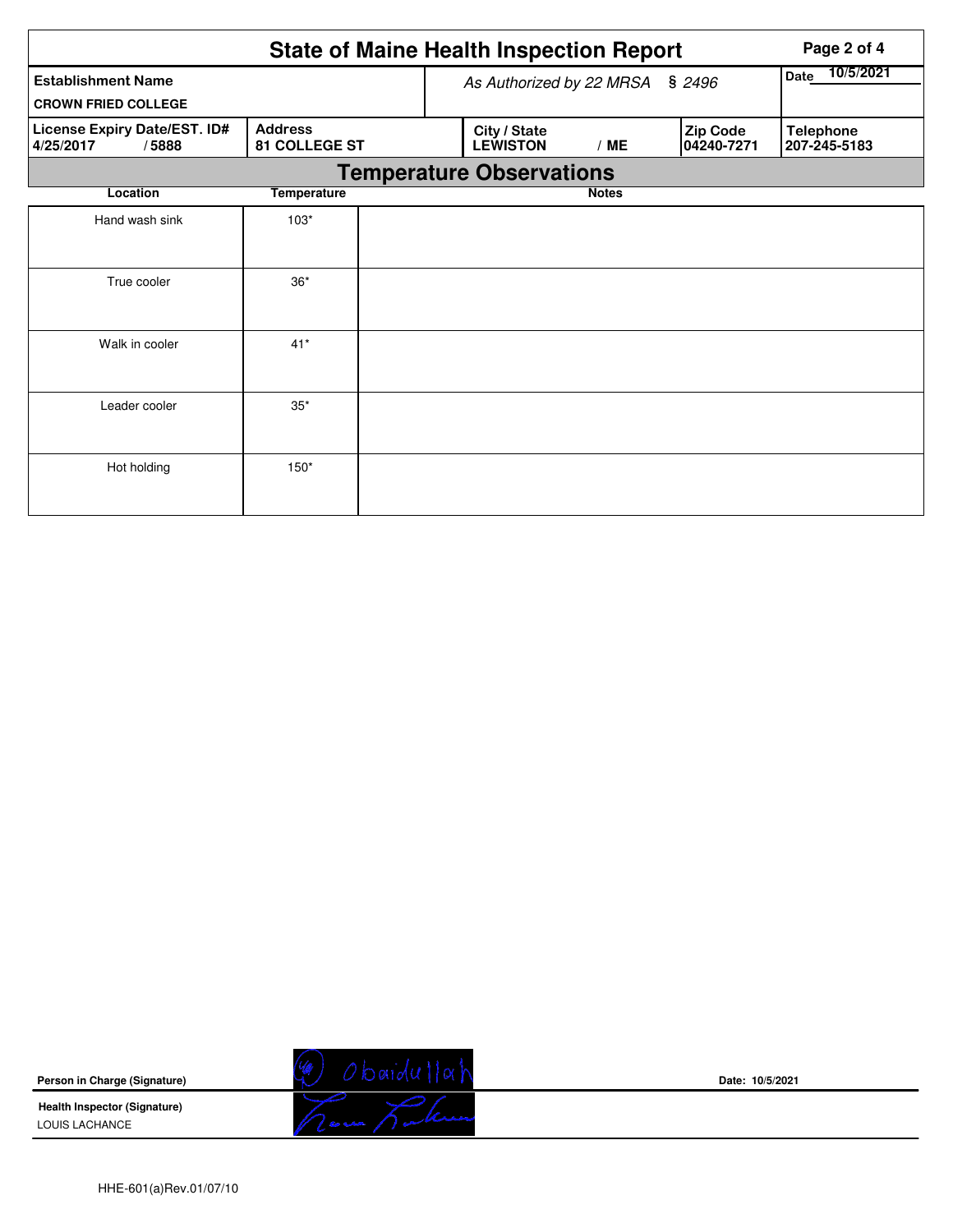|                                                    |                                 |  |                                 | <b>State of Maine Health Inspection Report</b> |                        |                                  |  |  |  |  |
|----------------------------------------------------|---------------------------------|--|---------------------------------|------------------------------------------------|------------------------|----------------------------------|--|--|--|--|
| <b>Establishment Name</b>                          |                                 |  | As Authorized by 22 MRSA § 2496 | 10/5/2021<br>Date                              |                        |                                  |  |  |  |  |
| <b>CROWN FRIED COLLEGE</b>                         |                                 |  |                                 |                                                |                        |                                  |  |  |  |  |
| License Expiry Date/EST. ID#<br>4/25/2017<br>/5888 | <b>Address</b><br>81 COLLEGE ST |  | City / State<br><b>LEWISTON</b> | /ME                                            | Zip Code<br>04240-7271 | <b>Telephone</b><br>207-245-5183 |  |  |  |  |
| <b>Temperature Observations</b>                    |                                 |  |                                 |                                                |                        |                                  |  |  |  |  |
| Location                                           | <b>Temperature</b>              |  |                                 | <b>Notes</b>                                   |                        |                                  |  |  |  |  |
| Hand wash sink                                     | $103*$                          |  |                                 |                                                |                        |                                  |  |  |  |  |
|                                                    |                                 |  |                                 |                                                |                        |                                  |  |  |  |  |
| True cooler                                        | $36*$                           |  |                                 |                                                |                        |                                  |  |  |  |  |
|                                                    |                                 |  |                                 |                                                |                        |                                  |  |  |  |  |
| Walk in cooler                                     | $41*$                           |  |                                 |                                                |                        |                                  |  |  |  |  |
|                                                    |                                 |  |                                 |                                                |                        |                                  |  |  |  |  |
| Leader cooler                                      | $35*$                           |  |                                 |                                                |                        |                                  |  |  |  |  |
|                                                    |                                 |  |                                 |                                                |                        |                                  |  |  |  |  |
| Hot holding                                        | $150*$                          |  |                                 |                                                |                        |                                  |  |  |  |  |
|                                                    |                                 |  |                                 |                                                |                        |                                  |  |  |  |  |

**Person in Charge (Signature)**

**Health Inspector (Signature)**  LOUIS LACHANCE



**Date: 10/5/2021**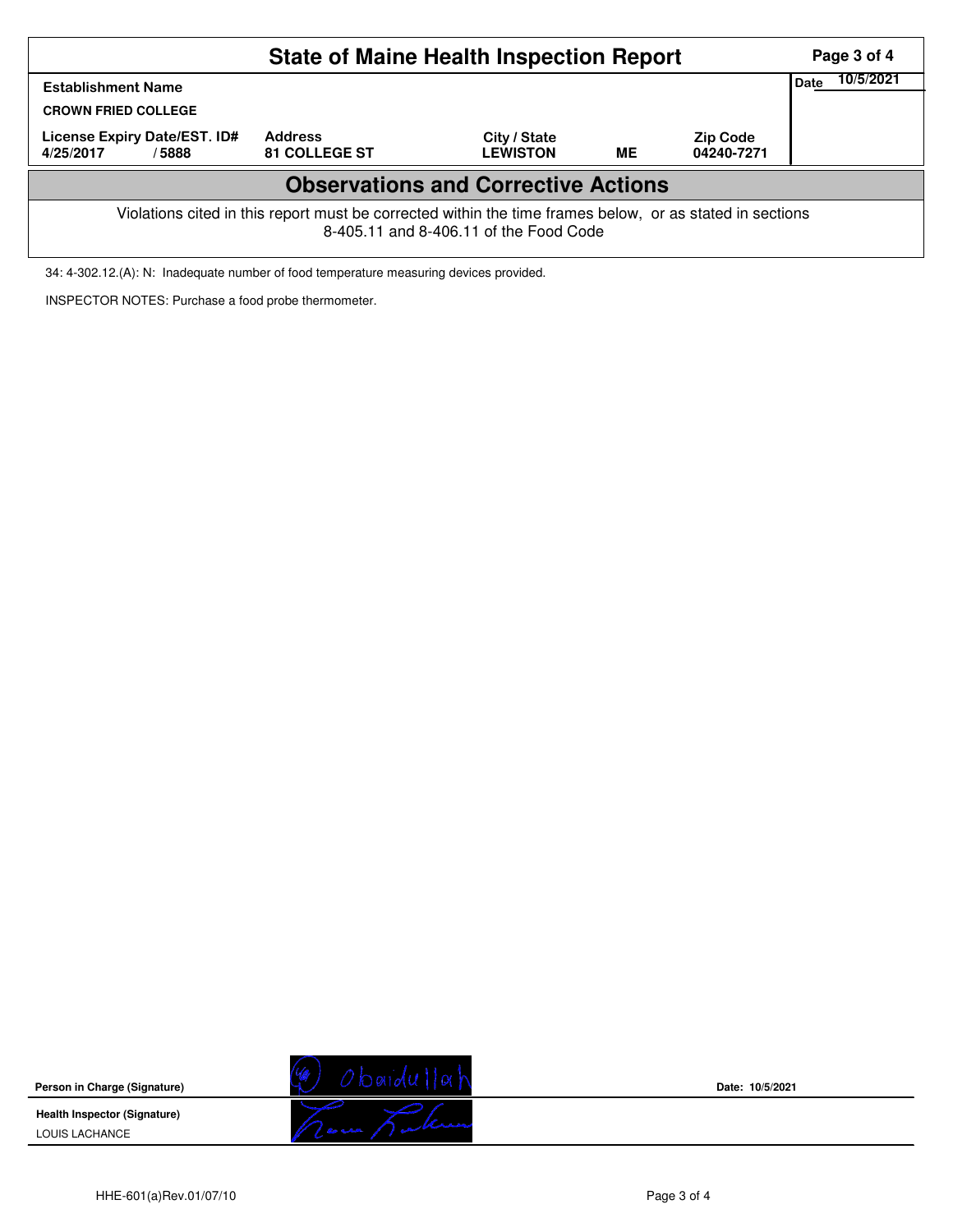|                                                                                                                                                    | Page 3 of 4<br>10/5/2021               |                                 |    |                               |  |  |  |  |
|----------------------------------------------------------------------------------------------------------------------------------------------------|----------------------------------------|---------------------------------|----|-------------------------------|--|--|--|--|
| <b>Establishment Name</b><br><b>CROWN FRIED COLLEGE</b>                                                                                            |                                        |                                 |    |                               |  |  |  |  |
| License Expiry Date/EST. ID#<br>/5888<br>4/25/2017                                                                                                 | <b>Address</b><br><b>81 COLLEGE ST</b> | City / State<br><b>LEWISTON</b> | ME | <b>Zip Code</b><br>04240-7271 |  |  |  |  |
| <b>Observations and Corrective Actions</b>                                                                                                         |                                        |                                 |    |                               |  |  |  |  |
| Violations cited in this report must be corrected within the time frames below, or as stated in sections<br>8-405.11 and 8-406.11 of the Food Code |                                        |                                 |    |                               |  |  |  |  |

34: 4-302.12.(A): N: Inadequate number of food temperature measuring devices provided.

INSPECTOR NOTES: Purchase a food probe thermometer.

**Person in Charge (Signature) Health Inspector (Signature)** 

LOUIS LACHANCE



**Date: 10/5/2021**